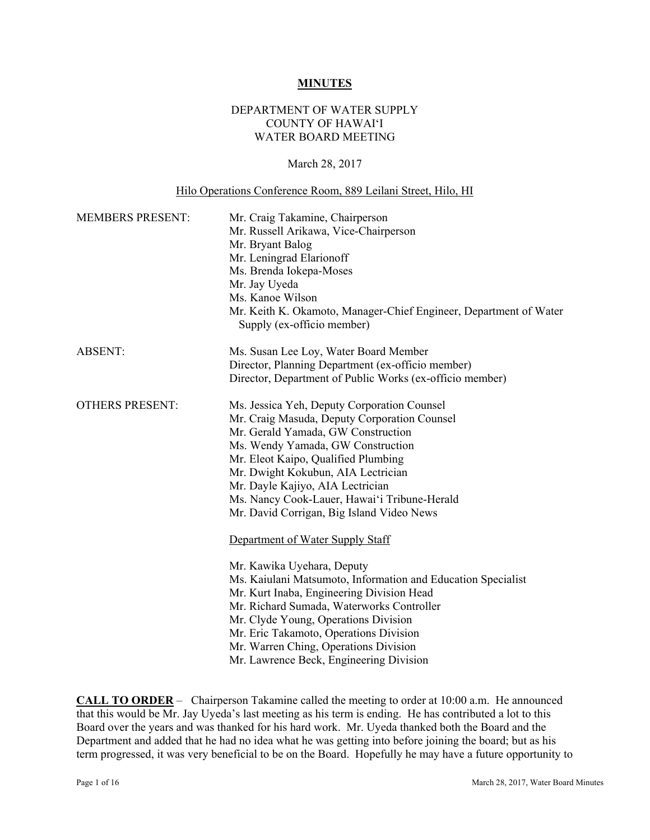#### **MINUTES**

## DEPARTMENT OF WATER SUPPLY COUNTY OF HAWAI'I WATER BOARD MEETING

#### March 28, 2017

#### Hilo Operations Conference Room, 889 Leilani Street, Hilo, HI

| <b>MEMBERS PRESENT:</b> | Mr. Craig Takamine, Chairperson<br>Mr. Russell Arikawa, Vice-Chairperson<br>Mr. Bryant Balog<br>Mr. Leningrad Elarionoff<br>Ms. Brenda Iokepa-Moses<br>Mr. Jay Uyeda<br>Ms. Kanoe Wilson<br>Mr. Keith K. Okamoto, Manager-Chief Engineer, Department of Water<br>Supply (ex-officio member)                                                                                                    |
|-------------------------|------------------------------------------------------------------------------------------------------------------------------------------------------------------------------------------------------------------------------------------------------------------------------------------------------------------------------------------------------------------------------------------------|
| <b>ABSENT:</b>          | Ms. Susan Lee Loy, Water Board Member<br>Director, Planning Department (ex-officio member)<br>Director, Department of Public Works (ex-officio member)                                                                                                                                                                                                                                         |
| <b>OTHERS PRESENT:</b>  | Ms. Jessica Yeh, Deputy Corporation Counsel<br>Mr. Craig Masuda, Deputy Corporation Counsel<br>Mr. Gerald Yamada, GW Construction<br>Ms. Wendy Yamada, GW Construction<br>Mr. Eleot Kaipo, Qualified Plumbing<br>Mr. Dwight Kokubun, AIA Lectrician<br>Mr. Dayle Kajiyo, AIA Lectrician<br>Ms. Nancy Cook-Lauer, Hawai'i Tribune-Herald<br>Mr. David Corrigan, Big Island Video News           |
|                         | Department of Water Supply Staff<br>Mr. Kawika Uyehara, Deputy<br>Ms. Kaiulani Matsumoto, Information and Education Specialist<br>Mr. Kurt Inaba, Engineering Division Head<br>Mr. Richard Sumada, Waterworks Controller<br>Mr. Clyde Young, Operations Division<br>Mr. Eric Takamoto, Operations Division<br>Mr. Warren Ching, Operations Division<br>Mr. Lawrence Beck, Engineering Division |

**CALL TO ORDER** – Chairperson Takamine called the meeting to order at 10:00 a.m. He announced that this would be Mr. Jay Uyeda's last meeting as his term is ending. He has contributed a lot to this Board over the years and was thanked for his hard work. Mr. Uyeda thanked both the Board and the Department and added that he had no idea what he was getting into before joining the board; but as his term progressed, it was very beneficial to be on the Board. Hopefully he may have a future opportunity to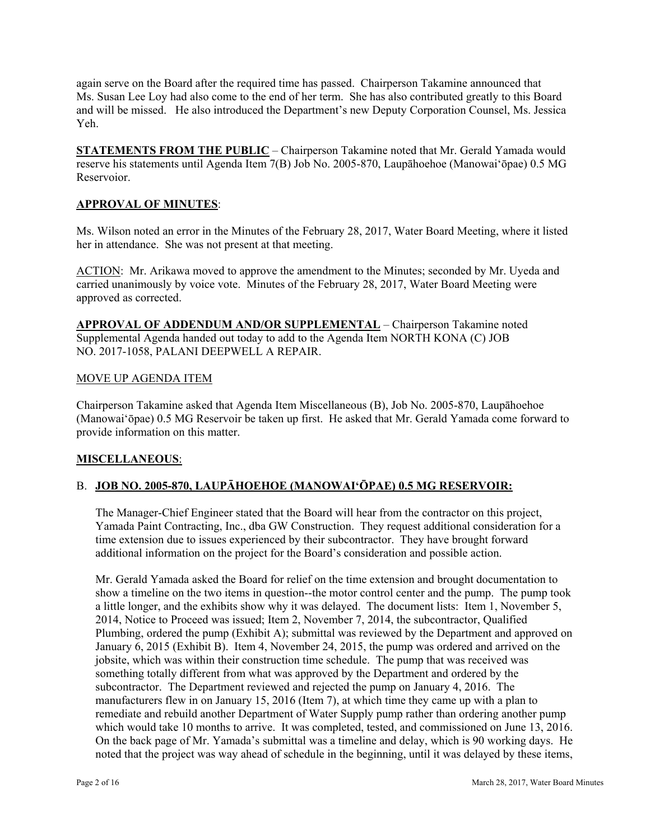again serve on the Board after the required time has passed. Chairperson Takamine announced that Ms. Susan Lee Loy had also come to the end of her term. She has also contributed greatly to this Board and will be missed. He also introduced the Department's new Deputy Corporation Counsel, Ms. Jessica Yeh.

**STATEMENTS FROM THE PUBLIC** – Chairperson Takamine noted that Mr. Gerald Yamada would reserve his statements until Agenda Item 7(B) Job No. 2005-870, Laupāhoehoe (Manowai'ōpae) 0.5 MG Reservoior.

## **APPROVAL OF MINUTES**:

Ms. Wilson noted an error in the Minutes of the February 28, 2017, Water Board Meeting, where it listed her in attendance. She was not present at that meeting.

ACTION: Mr. Arikawa moved to approve the amendment to the Minutes; seconded by Mr. Uyeda and carried unanimously by voice vote. Minutes of the February 28, 2017, Water Board Meeting were approved as corrected.

**APPROVAL OF ADDENDUM AND/OR SUPPLEMENTAL** – Chairperson Takamine noted Supplemental Agenda handed out today to add to the Agenda Item NORTH KONA (C) JOB NO. 2017-1058, PALANI DEEPWELL A REPAIR.

#### MOVE UP AGENDA ITEM

Chairperson Takamine asked that Agenda Item Miscellaneous (B), Job No. 2005-870, Laupāhoehoe (Manowaiʻōpae) 0.5 MG Reservoir be taken up first. He asked that Mr. Gerald Yamada come forward to provide information on this matter.

#### **MISCELLANEOUS**:

## B. **JOB NO. 2005-870, LAUPĀHOEHOE (MANOWAI'ŌPAE) 0.5 MG RESERVOIR:**

The Manager-Chief Engineer stated that the Board will hear from the contractor on this project, Yamada Paint Contracting, Inc., dba GW Construction. They request additional consideration for a time extension due to issues experienced by their subcontractor. They have brought forward additional information on the project for the Board's consideration and possible action.

Mr. Gerald Yamada asked the Board for relief on the time extension and brought documentation to show a timeline on the two items in question--the motor control center and the pump. The pump took a little longer, and the exhibits show why it was delayed. The document lists: Item 1, November 5, 2014, Notice to Proceed was issued; Item 2, November 7, 2014, the subcontractor, Qualified Plumbing, ordered the pump (Exhibit A); submittal was reviewed by the Department and approved on January 6, 2015 (Exhibit B). Item 4, November 24, 2015, the pump was ordered and arrived on the jobsite, which was within their construction time schedule. The pump that was received was something totally different from what was approved by the Department and ordered by the subcontractor. The Department reviewed and rejected the pump on January 4, 2016. The manufacturers flew in on January 15, 2016 (Item 7), at which time they came up with a plan to remediate and rebuild another Department of Water Supply pump rather than ordering another pump which would take 10 months to arrive. It was completed, tested, and commissioned on June 13, 2016. On the back page of Mr. Yamada's submittal was a timeline and delay, which is 90 working days. He noted that the project was way ahead of schedule in the beginning, until it was delayed by these items,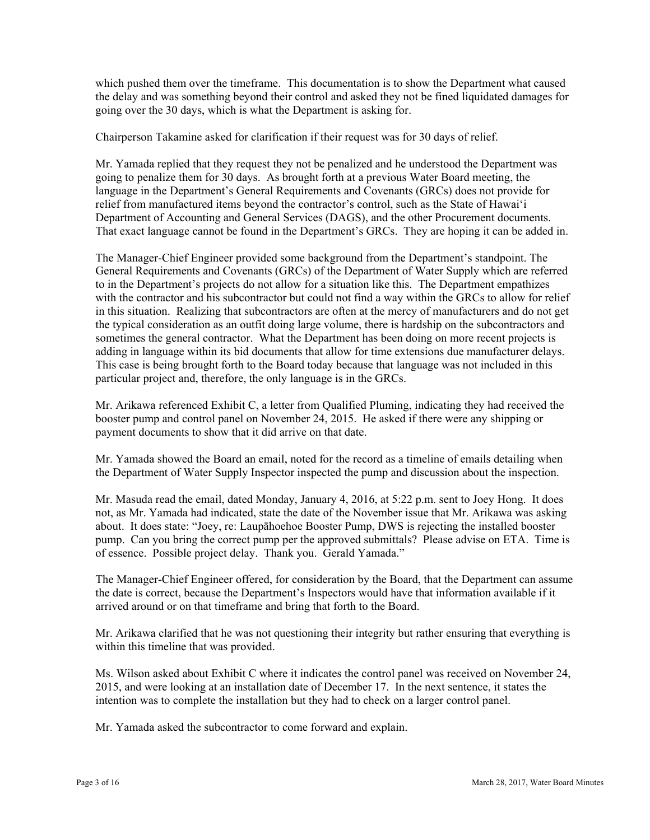which pushed them over the timeframe. This documentation is to show the Department what caused the delay and was something beyond their control and asked they not be fined liquidated damages for going over the 30 days, which is what the Department is asking for.

Chairperson Takamine asked for clarification if their request was for 30 days of relief.

Mr. Yamada replied that they request they not be penalized and he understood the Department was going to penalize them for 30 days. As brought forth at a previous Water Board meeting, the language in the Department's General Requirements and Covenants (GRCs) does not provide for relief from manufactured items beyond the contractor's control, such as the State of Hawai'i Department of Accounting and General Services (DAGS), and the other Procurement documents. That exact language cannot be found in the Department's GRCs. They are hoping it can be added in.

The Manager-Chief Engineer provided some background from the Department's standpoint. The General Requirements and Covenants (GRCs) of the Department of Water Supply which are referred to in the Department's projects do not allow for a situation like this. The Department empathizes with the contractor and his subcontractor but could not find a way within the GRCs to allow for relief in this situation. Realizing that subcontractors are often at the mercy of manufacturers and do not get the typical consideration as an outfit doing large volume, there is hardship on the subcontractors and sometimes the general contractor. What the Department has been doing on more recent projects is adding in language within its bid documents that allow for time extensions due manufacturer delays. This case is being brought forth to the Board today because that language was not included in this particular project and, therefore, the only language is in the GRCs.

Mr. Arikawa referenced Exhibit C, a letter from Qualified Pluming, indicating they had received the booster pump and control panel on November 24, 2015. He asked if there were any shipping or payment documents to show that it did arrive on that date.

Mr. Yamada showed the Board an email, noted for the record as a timeline of emails detailing when the Department of Water Supply Inspector inspected the pump and discussion about the inspection.

Mr. Masuda read the email, dated Monday, January 4, 2016, at 5:22 p.m. sent to Joey Hong. It does not, as Mr. Yamada had indicated, state the date of the November issue that Mr. Arikawa was asking about. It does state: "Joey, re: Laupāhoehoe Booster Pump, DWS is rejecting the installed booster pump. Can you bring the correct pump per the approved submittals? Please advise on ETA. Time is of essence. Possible project delay. Thank you. Gerald Yamada."

The Manager-Chief Engineer offered, for consideration by the Board, that the Department can assume the date is correct, because the Department's Inspectors would have that information available if it arrived around or on that timeframe and bring that forth to the Board.

Mr. Arikawa clarified that he was not questioning their integrity but rather ensuring that everything is within this timeline that was provided.

Ms. Wilson asked about Exhibit C where it indicates the control panel was received on November 24, 2015, and were looking at an installation date of December 17. In the next sentence, it states the intention was to complete the installation but they had to check on a larger control panel.

Mr. Yamada asked the subcontractor to come forward and explain.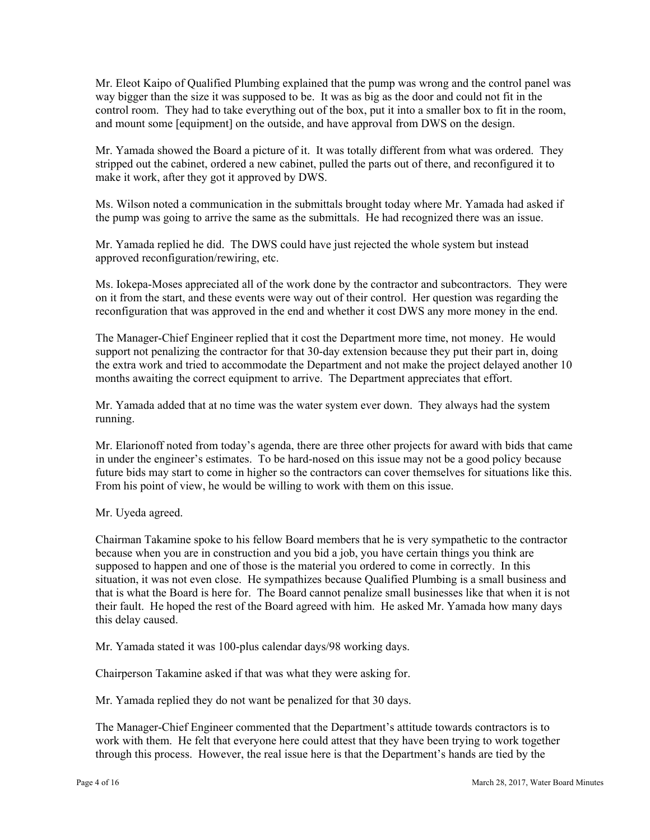Mr. Eleot Kaipo of Qualified Plumbing explained that the pump was wrong and the control panel was way bigger than the size it was supposed to be. It was as big as the door and could not fit in the control room. They had to take everything out of the box, put it into a smaller box to fit in the room, and mount some [equipment] on the outside, and have approval from DWS on the design.

Mr. Yamada showed the Board a picture of it. It was totally different from what was ordered. They stripped out the cabinet, ordered a new cabinet, pulled the parts out of there, and reconfigured it to make it work, after they got it approved by DWS.

Ms. Wilson noted a communication in the submittals brought today where Mr. Yamada had asked if the pump was going to arrive the same as the submittals. He had recognized there was an issue.

Mr. Yamada replied he did. The DWS could have just rejected the whole system but instead approved reconfiguration/rewiring, etc.

Ms. Iokepa-Moses appreciated all of the work done by the contractor and subcontractors. They were on it from the start, and these events were way out of their control. Her question was regarding the reconfiguration that was approved in the end and whether it cost DWS any more money in the end.

The Manager-Chief Engineer replied that it cost the Department more time, not money. He would support not penalizing the contractor for that 30-day extension because they put their part in, doing the extra work and tried to accommodate the Department and not make the project delayed another 10 months awaiting the correct equipment to arrive. The Department appreciates that effort.

Mr. Yamada added that at no time was the water system ever down. They always had the system running.

Mr. Elarionoff noted from today's agenda, there are three other projects for award with bids that came in under the engineer's estimates. To be hard-nosed on this issue may not be a good policy because future bids may start to come in higher so the contractors can cover themselves for situations like this. From his point of view, he would be willing to work with them on this issue.

Mr. Uyeda agreed.

Chairman Takamine spoke to his fellow Board members that he is very sympathetic to the contractor because when you are in construction and you bid a job, you have certain things you think are supposed to happen and one of those is the material you ordered to come in correctly. In this situation, it was not even close. He sympathizes because Qualified Plumbing is a small business and that is what the Board is here for. The Board cannot penalize small businesses like that when it is not their fault. He hoped the rest of the Board agreed with him. He asked Mr. Yamada how many days this delay caused.

Mr. Yamada stated it was 100-plus calendar days/98 working days.

Chairperson Takamine asked if that was what they were asking for.

Mr. Yamada replied they do not want be penalized for that 30 days.

The Manager-Chief Engineer commented that the Department's attitude towards contractors is to work with them. He felt that everyone here could attest that they have been trying to work together through this process. However, the real issue here is that the Department's hands are tied by the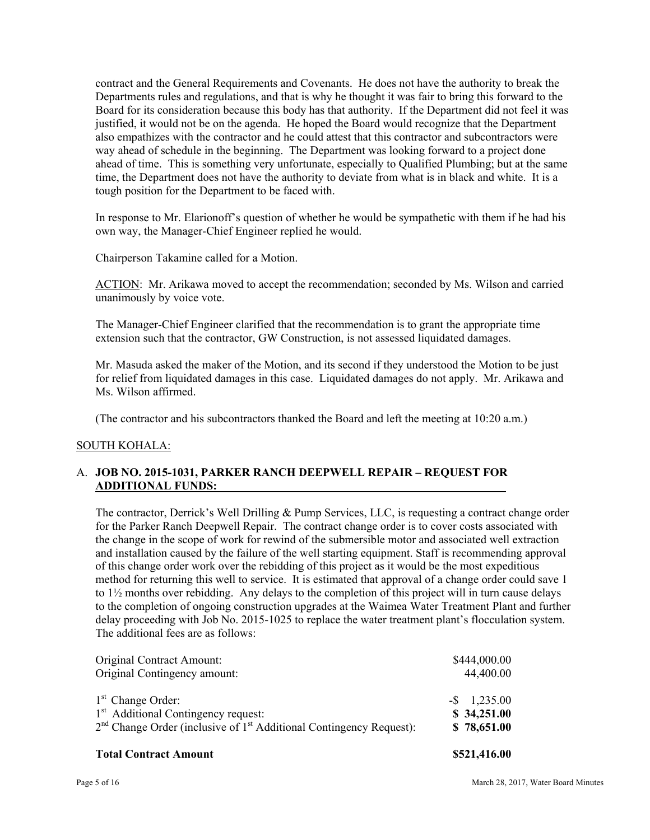contract and the General Requirements and Covenants. He does not have the authority to break the Departments rules and regulations, and that is why he thought it was fair to bring this forward to the Board for its consideration because this body has that authority. If the Department did not feel it was justified, it would not be on the agenda. He hoped the Board would recognize that the Department also empathizes with the contractor and he could attest that this contractor and subcontractors were way ahead of schedule in the beginning. The Department was looking forward to a project done ahead of time. This is something very unfortunate, especially to Qualified Plumbing; but at the same time, the Department does not have the authority to deviate from what is in black and white. It is a tough position for the Department to be faced with.

In response to Mr. Elarionoff's question of whether he would be sympathetic with them if he had his own way, the Manager-Chief Engineer replied he would.

Chairperson Takamine called for a Motion.

ACTION: Mr. Arikawa moved to accept the recommendation; seconded by Ms. Wilson and carried unanimously by voice vote.

The Manager-Chief Engineer clarified that the recommendation is to grant the appropriate time extension such that the contractor, GW Construction, is not assessed liquidated damages.

Mr. Masuda asked the maker of the Motion, and its second if they understood the Motion to be just for relief from liquidated damages in this case. Liquidated damages do not apply. Mr. Arikawa and Ms. Wilson affirmed.

(The contractor and his subcontractors thanked the Board and left the meeting at 10:20 a.m.)

#### SOUTH KOHALA:

## A. **JOB NO. 2015-1031, PARKER RANCH DEEPWELL REPAIR – REQUEST FOR ADDITIONAL FUNDS:**

The contractor, Derrick's Well Drilling & Pump Services, LLC, is requesting a contract change order for the Parker Ranch Deepwell Repair. The contract change order is to cover costs associated with the change in the scope of work for rewind of the submersible motor and associated well extraction and installation caused by the failure of the well starting equipment. Staff is recommending approval of this change order work over the rebidding of this project as it would be the most expeditious method for returning this well to service. It is estimated that approval of a change order could save 1 to  $1\frac{1}{2}$  months over rebidding. Any delays to the completion of this project will in turn cause delays to the completion of ongoing construction upgrades at the Waimea Water Treatment Plant and further delay proceeding with Job No. 2015-1025 to replace the water treatment plant's flocculation system. The additional fees are as follows:

| Original Contract Amount:                                                         | \$444,000.00    |
|-----------------------------------------------------------------------------------|-----------------|
| Original Contingency amount:                                                      | 44,400.00       |
|                                                                                   |                 |
| $1st$ Change Order:                                                               | $-$ \$ 1,235.00 |
| 1 <sup>st</sup> Additional Contingency request:                                   | \$34,251.00     |
| $2nd$ Change Order (inclusive of 1 <sup>st</sup> Additional Contingency Request): | \$78,651.00     |
| \$521,416.00<br><b>Total Contract Amount</b>                                      |                 |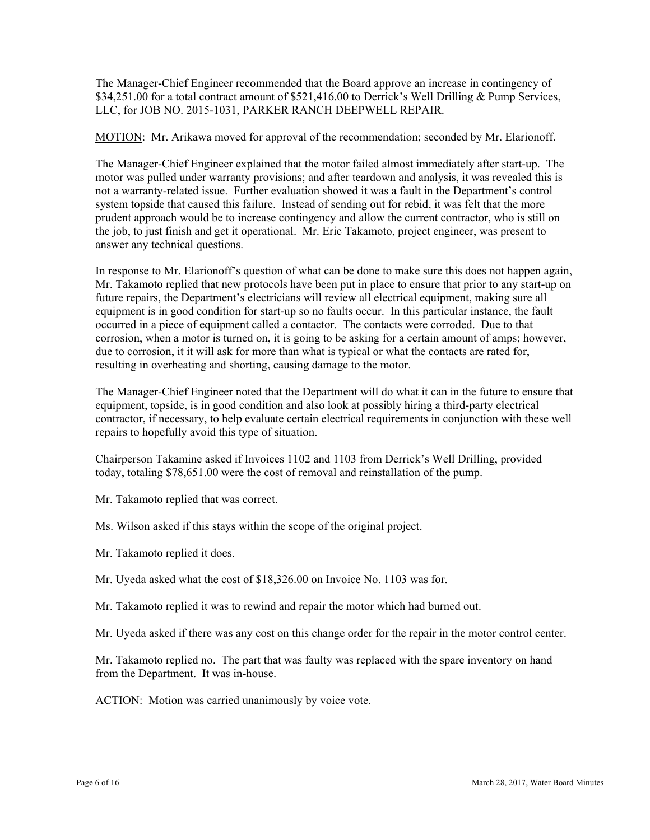The Manager-Chief Engineer recommended that the Board approve an increase in contingency of \$34,251.00 for a total contract amount of \$521,416.00 to Derrick's Well Drilling & Pump Services, LLC, for JOB NO. 2015-1031, PARKER RANCH DEEPWELL REPAIR.

MOTION: Mr. Arikawa moved for approval of the recommendation; seconded by Mr. Elarionoff.

The Manager-Chief Engineer explained that the motor failed almost immediately after start-up. The motor was pulled under warranty provisions; and after teardown and analysis, it was revealed this is not a warranty-related issue. Further evaluation showed it was a fault in the Department's control system topside that caused this failure. Instead of sending out for rebid, it was felt that the more prudent approach would be to increase contingency and allow the current contractor, who is still on the job, to just finish and get it operational. Mr. Eric Takamoto, project engineer, was present to answer any technical questions.

In response to Mr. Elarionoff's question of what can be done to make sure this does not happen again, Mr. Takamoto replied that new protocols have been put in place to ensure that prior to any start-up on future repairs, the Department's electricians will review all electrical equipment, making sure all equipment is in good condition for start-up so no faults occur. In this particular instance, the fault occurred in a piece of equipment called a contactor. The contacts were corroded. Due to that corrosion, when a motor is turned on, it is going to be asking for a certain amount of amps; however, due to corrosion, it it will ask for more than what is typical or what the contacts are rated for, resulting in overheating and shorting, causing damage to the motor.

The Manager-Chief Engineer noted that the Department will do what it can in the future to ensure that equipment, topside, is in good condition and also look at possibly hiring a third-party electrical contractor, if necessary, to help evaluate certain electrical requirements in conjunction with these well repairs to hopefully avoid this type of situation.

Chairperson Takamine asked if Invoices 1102 and 1103 from Derrick's Well Drilling, provided today, totaling \$78,651.00 were the cost of removal and reinstallation of the pump.

Mr. Takamoto replied that was correct.

Ms. Wilson asked if this stays within the scope of the original project.

Mr. Takamoto replied it does.

Mr. Uyeda asked what the cost of \$18,326.00 on Invoice No. 1103 was for.

Mr. Takamoto replied it was to rewind and repair the motor which had burned out.

Mr. Uyeda asked if there was any cost on this change order for the repair in the motor control center.

Mr. Takamoto replied no. The part that was faulty was replaced with the spare inventory on hand from the Department. It was in-house.

ACTION: Motion was carried unanimously by voice vote.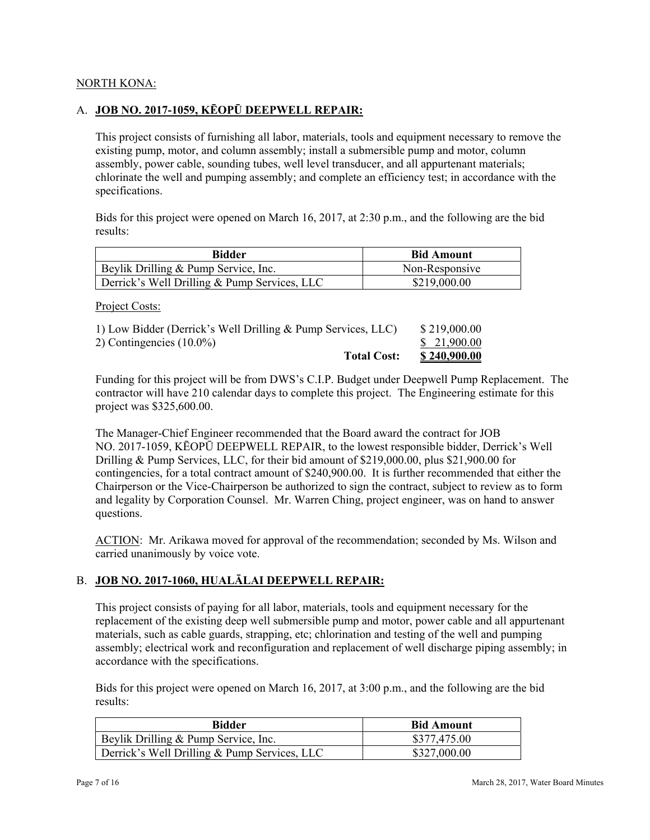## NORTH KONA:

## A. **JOB NO. 2017-1059, KĒOPŪ DEEPWELL REPAIR:**

This project consists of furnishing all labor, materials, tools and equipment necessary to remove the existing pump, motor, and column assembly; install a submersible pump and motor, column assembly, power cable, sounding tubes, well level transducer, and all appurtenant materials; chlorinate the well and pumping assembly; and complete an efficiency test; in accordance with the specifications.

Bids for this project were opened on March 16, 2017, at 2:30 p.m., and the following are the bid results:

| <b>Bidder</b>                                | <b>Bid Amount</b> |  |
|----------------------------------------------|-------------------|--|
| Beylik Drilling & Pump Service, Inc.         | Non-Responsive    |  |
| Derrick's Well Drilling & Pump Services, LLC | \$219,000.00      |  |

Project Costs:

| 1) Low Bidder (Derrick's Well Drilling & Pump Services, LLC) | \$219,000.00        |
|--------------------------------------------------------------|---------------------|
| 2) Contingencies $(10.0\%)$                                  | \$ 21,900.00        |
| <b>Total Cost:</b>                                           | <u>\$240,900.00</u> |

Funding for this project will be from DWS's C.I.P. Budget under Deepwell Pump Replacement. The contractor will have 210 calendar days to complete this project. The Engineering estimate for this project was \$325,600.00.

The Manager-Chief Engineer recommended that the Board award the contract for JOB NO. 2017-1059, KĒOPŪ DEEPWELL REPAIR, to the lowest responsible bidder, Derrick's Well Drilling & Pump Services, LLC, for their bid amount of \$219,000.00, plus \$21,900.00 for contingencies, for a total contract amount of \$240,900.00. It is further recommended that either the Chairperson or the Vice-Chairperson be authorized to sign the contract, subject to review as to form and legality by Corporation Counsel. Mr. Warren Ching, project engineer, was on hand to answer questions.

ACTION: Mr. Arikawa moved for approval of the recommendation; seconded by Ms. Wilson and carried unanimously by voice vote.

## B. **JOB NO. 2017-1060, HUALĀLAI DEEPWELL REPAIR:**

This project consists of paying for all labor, materials, tools and equipment necessary for the replacement of the existing deep well submersible pump and motor, power cable and all appurtenant materials, such as cable guards, strapping, etc; chlorination and testing of the well and pumping assembly; electrical work and reconfiguration and replacement of well discharge piping assembly; in accordance with the specifications.

Bids for this project were opened on March 16, 2017, at 3:00 p.m., and the following are the bid results:

| <b>Bidder</b>                                | <b>Bid Amount</b> |
|----------------------------------------------|-------------------|
| Beylik Drilling & Pump Service, Inc.         | \$377,475.00      |
| Derrick's Well Drilling & Pump Services, LLC | \$327,000.00      |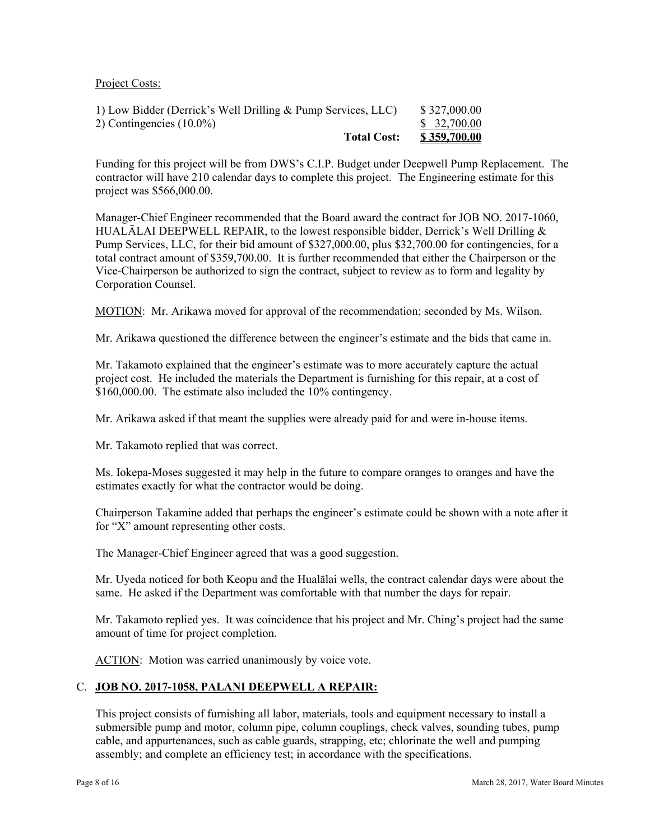#### Project Costs:

Funding for this project will be from DWS's C.I.P. Budget under Deepwell Pump Replacement. The contractor will have 210 calendar days to complete this project. The Engineering estimate for this project was \$566,000.00.

 Vice-Chairperson be authorized to sign the contract, subject to review as to form and legality by Manager-Chief Engineer recommended that the Board award the contract for JOB NO. 2017-1060, HUALĀLAI DEEPWELL REPAIR, to the lowest responsible bidder, Derrick's Well Drilling  $\&$ Pump Services, LLC, for their bid amount of \$327,000.00, plus \$32,700.00 for contingencies, for a total contract amount of \$359,700.00. It is further recommended that either the Chairperson or the Corporation Counsel.

MOTION: Mr. Arikawa moved for approval of the recommendation; seconded by Ms. Wilson.

Mr. Arikawa questioned the difference between the engineer's estimate and the bids that came in.

\$160,000.00. The estimate also included the 10% contingency. Mr. Takamoto explained that the engineer's estimate was to more accurately capture the actual project cost. He included the materials the Department is furnishing for this repair, at a cost of

Mr. Arikawa asked if that meant the supplies were already paid for and were in-house items.

Mr. Takamoto replied that was correct.

Ms. Iokepa-Moses suggested it may help in the future to compare oranges to oranges and have the estimates exactly for what the contractor would be doing.

Chairperson Takamine added that perhaps the engineer's estimate could be shown with a note after it for "X" amount representing other costs.

The Manager-Chief Engineer agreed that was a good suggestion.

Mr. Uyeda noticed for both Keopu and the Hualālai wells, the contract calendar days were about the same. He asked if the Department was comfortable with that number the days for repair.

Mr. Takamoto replied yes. It was coincidence that his project and Mr. Ching's project had the same amount of time for project completion.

ACTION: Motion was carried unanimously by voice vote.

## C. **JOB NO. 2017-1058, PALANI DEEPWELL A REPAIR:**

This project consists of furnishing all labor, materials, tools and equipment necessary to install a submersible pump and motor, column pipe, column couplings, check valves, sounding tubes, pump cable, and appurtenances, such as cable guards, strapping, etc; chlorinate the well and pumping assembly; and complete an efficiency test; in accordance with the specifications.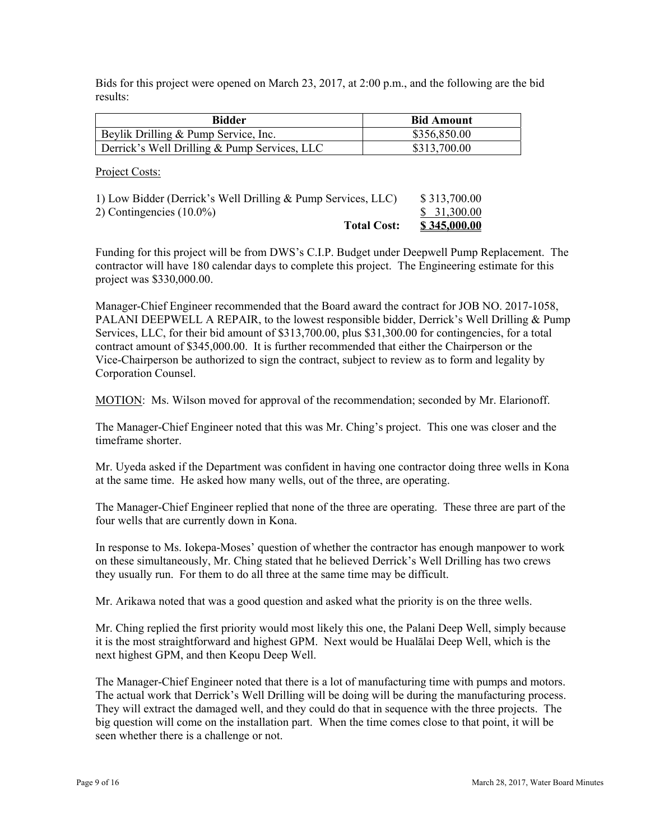Bids for this project were opened on March 23, 2017, at 2:00 p.m., and the following are the bid results:

| Bidder                                       | <b>Bid Amount</b> |
|----------------------------------------------|-------------------|
| Beylik Drilling & Pump Service, Inc.         | \$356,850.00      |
| Derrick's Well Drilling & Pump Services, LLC | \$313,700.00      |

Project Costs:

| 1) Low Bidder (Derrick's Well Drilling & Pump Services, LLC) | \$313,700.00        |
|--------------------------------------------------------------|---------------------|
| 2) Contingencies $(10.0\%)$                                  | \$31,300.00         |
| <b>Total Cost:</b>                                           | <u>\$345,000.00</u> |

Funding for this project will be from DWS's C.I.P. Budget under Deepwell Pump Replacement. The contractor will have 180 calendar days to complete this project. The Engineering estimate for this project was \$330,000.00.

 Vice-Chairperson be authorized to sign the contract, subject to review as to form and legality by Manager-Chief Engineer recommended that the Board award the contract for JOB NO. 2017-1058, PALANI DEEPWELL A REPAIR, to the lowest responsible bidder, Derrick's Well Drilling & Pump Services, LLC, for their bid amount of \$313,700.00, plus \$31,300.00 for contingencies, for a total contract amount of \$345,000.00. It is further recommended that either the Chairperson or the Corporation Counsel.

MOTION: Ms. Wilson moved for approval of the recommendation; seconded by Mr. Elarionoff.

The Manager-Chief Engineer noted that this was Mr. Ching's project. This one was closer and the timeframe shorter.

Mr. Uyeda asked if the Department was confident in having one contractor doing three wells in Kona at the same time. He asked how many wells, out of the three, are operating.

The Manager-Chief Engineer replied that none of the three are operating. These three are part of the four wells that are currently down in Kona.

In response to Ms. Iokepa-Moses' question of whether the contractor has enough manpower to work on these simultaneously, Mr. Ching stated that he believed Derrick's Well Drilling has two crews they usually run. For them to do all three at the same time may be difficult.

Mr. Arikawa noted that was a good question and asked what the priority is on the three wells.

Mr. Ching replied the first priority would most likely this one, the Palani Deep Well, simply because it is the most straightforward and highest GPM. Next would be Hualālai Deep Well, which is the next highest GPM, and then Keopu Deep Well.

The Manager-Chief Engineer noted that there is a lot of manufacturing time with pumps and motors. The actual work that Derrick's Well Drilling will be doing will be during the manufacturing process. They will extract the damaged well, and they could do that in sequence with the three projects. The big question will come on the installation part. When the time comes close to that point, it will be seen whether there is a challenge or not.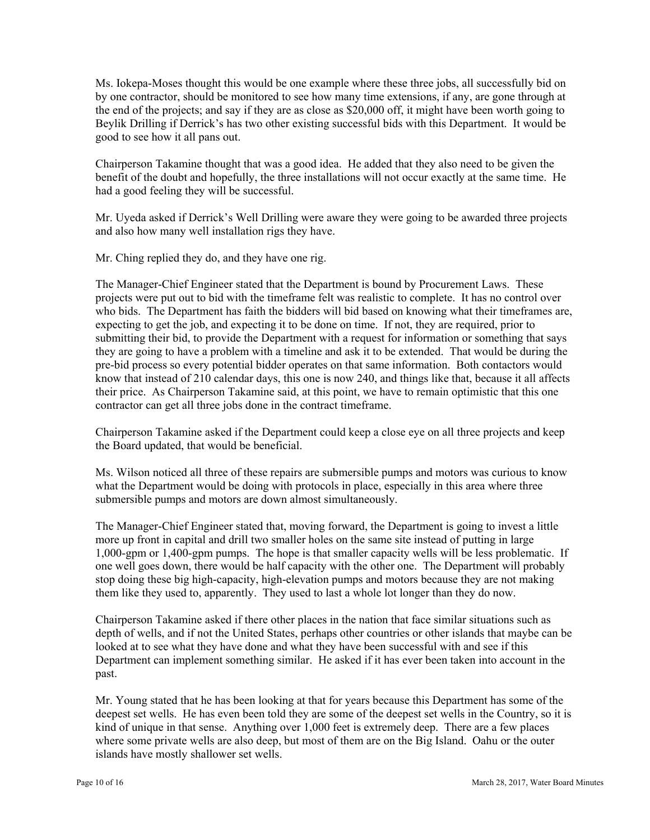Ms. Iokepa-Moses thought this would be one example where these three jobs, all successfully bid on by one contractor, should be monitored to see how many time extensions, if any, are gone through at the end of the projects; and say if they are as close as \$20,000 off, it might have been worth going to Beylik Drilling if Derrick's has two other existing successful bids with this Department. It would be good to see how it all pans out.

Chairperson Takamine thought that was a good idea. He added that they also need to be given the benefit of the doubt and hopefully, the three installations will not occur exactly at the same time. He had a good feeling they will be successful.

Mr. Uyeda asked if Derrick's Well Drilling were aware they were going to be awarded three projects and also how many well installation rigs they have.

Mr. Ching replied they do, and they have one rig.

The Manager-Chief Engineer stated that the Department is bound by Procurement Laws. These projects were put out to bid with the timeframe felt was realistic to complete. It has no control over who bids. The Department has faith the bidders will bid based on knowing what their timeframes are, expecting to get the job, and expecting it to be done on time. If not, they are required, prior to submitting their bid, to provide the Department with a request for information or something that says they are going to have a problem with a timeline and ask it to be extended. That would be during the pre-bid process so every potential bidder operates on that same information. Both contactors would know that instead of 210 calendar days, this one is now 240, and things like that, because it all affects their price. As Chairperson Takamine said, at this point, we have to remain optimistic that this one contractor can get all three jobs done in the contract timeframe.

Chairperson Takamine asked if the Department could keep a close eye on all three projects and keep the Board updated, that would be beneficial.

Ms. Wilson noticed all three of these repairs are submersible pumps and motors was curious to know what the Department would be doing with protocols in place, especially in this area where three submersible pumps and motors are down almost simultaneously.

The Manager-Chief Engineer stated that, moving forward, the Department is going to invest a little more up front in capital and drill two smaller holes on the same site instead of putting in large 1,000-gpm or 1,400-gpm pumps. The hope is that smaller capacity wells will be less problematic. If one well goes down, there would be half capacity with the other one. The Department will probably stop doing these big high-capacity, high-elevation pumps and motors because they are not making them like they used to, apparently. They used to last a whole lot longer than they do now.

Chairperson Takamine asked if there other places in the nation that face similar situations such as depth of wells, and if not the United States, perhaps other countries or other islands that maybe can be looked at to see what they have done and what they have been successful with and see if this Department can implement something similar. He asked if it has ever been taken into account in the past.

islands have mostly shallower set wells. Mr. Young stated that he has been looking at that for years because this Department has some of the deepest set wells. He has even been told they are some of the deepest set wells in the Country, so it is kind of unique in that sense. Anything over 1,000 feet is extremely deep. There are a few places where some private wells are also deep, but most of them are on the Big Island. Oahu or the outer islands have mostly shallower set wells.<br>
Page 10 of 16 March 28, 2017, Water Board Minutes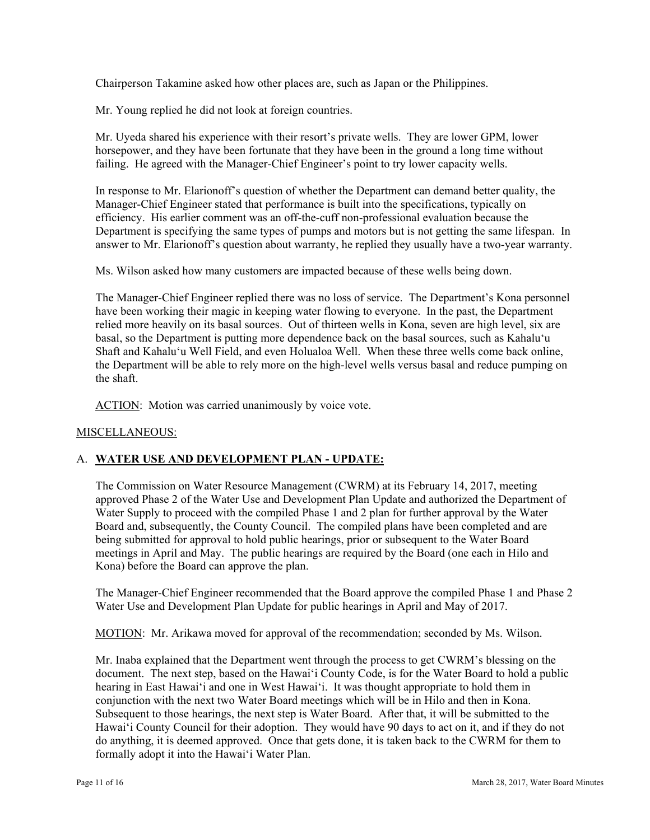Chairperson Takamine asked how other places are, such as Japan or the Philippines.

Mr. Young replied he did not look at foreign countries.

Mr. Uyeda shared his experience with their resort's private wells. They are lower GPM, lower horsepower, and they have been fortunate that they have been in the ground a long time without failing. He agreed with the Manager-Chief Engineer's point to try lower capacity wells.

In response to Mr. Elarionoff's question of whether the Department can demand better quality, the Manager-Chief Engineer stated that performance is built into the specifications, typically on efficiency. His earlier comment was an off-the-cuff non-professional evaluation because the Department is specifying the same types of pumps and motors but is not getting the same lifespan. In answer to Mr. Elarionoff's question about warranty, he replied they usually have a two-year warranty.

Ms. Wilson asked how many customers are impacted because of these wells being down.

The Manager-Chief Engineer replied there was no loss of service. The Department's Kona personnel have been working their magic in keeping water flowing to everyone. In the past, the Department relied more heavily on its basal sources. Out of thirteen wells in Kona, seven are high level, six are basal, so the Department is putting more dependence back on the basal sources, such as Kahalu'u Shaft and Kahalu'u Well Field, and even Holualoa Well. When these three wells come back online, the Department will be able to rely more on the high-level wells versus basal and reduce pumping on the shaft.

ACTION: Motion was carried unanimously by voice vote.

## MISCELLANEOUS:

# A. **WATER USE AND DEVELOPMENT PLAN - UPDATE:**

The Commission on Water Resource Management (CWRM) at its February 14, 2017, meeting approved Phase 2 of the Water Use and Development Plan Update and authorized the Department of Water Supply to proceed with the compiled Phase 1 and 2 plan for further approval by the Water Board and, subsequently, the County Council. The compiled plans have been completed and are being submitted for approval to hold public hearings, prior or subsequent to the Water Board meetings in April and May. The public hearings are required by the Board (one each in Hilo and Kona) before the Board can approve the plan.

The Manager-Chief Engineer recommended that the Board approve the compiled Phase 1 and Phase 2 Water Use and Development Plan Update for public hearings in April and May of 2017.

MOTION: Mr. Arikawa moved for approval of the recommendation; seconded by Ms. Wilson.

Mr. Inaba explained that the Department went through the process to get CWRM's blessing on the document. The next step, based on the Hawai'i County Code, is for the Water Board to hold a public hearing in East Hawai'i and one in West Hawai'i. It was thought appropriate to hold them in conjunction with the next two Water Board meetings which will be in Hilo and then in Kona. Subsequent to those hearings, the next step is Water Board. After that, it will be submitted to the Hawai'i County Council for their adoption. They would have 90 days to act on it, and if they do not do anything, it is deemed approved. Once that gets done, it is taken back to the CWRM for them to formally adopt it into the Hawai'i Water Plan.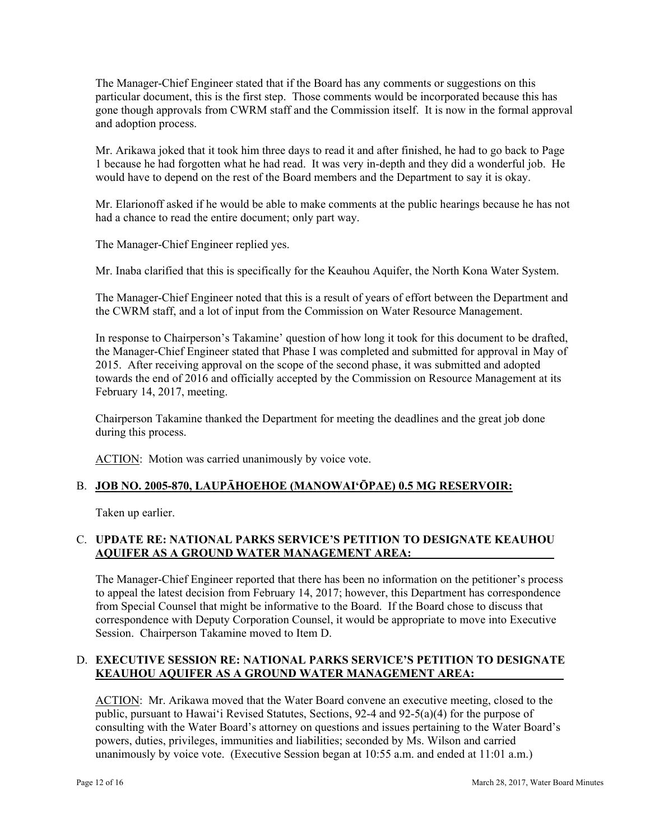The Manager-Chief Engineer stated that if the Board has any comments or suggestions on this particular document, this is the first step. Those comments would be incorporated because this has gone though approvals from CWRM staff and the Commission itself. It is now in the formal approval and adoption process.

Mr. Arikawa joked that it took him three days to read it and after finished, he had to go back to Page 1 because he had forgotten what he had read. It was very in-depth and they did a wonderful job. He would have to depend on the rest of the Board members and the Department to say it is okay.

 had a chance to read the entire document; only part way. Mr. Elarionoff asked if he would be able to make comments at the public hearings because he has not

The Manager-Chief Engineer replied yes.

Mr. Inaba clarified that this is specifically for the Keauhou Aquifer, the North Kona Water System.

The Manager-Chief Engineer noted that this is a result of years of effort between the Department and the CWRM staff, and a lot of input from the Commission on Water Resource Management.

In response to Chairperson's Takamine' question of how long it took for this document to be drafted, the Manager-Chief Engineer stated that Phase I was completed and submitted for approval in May of 2015. After receiving approval on the scope of the second phase, it was submitted and adopted towards the end of 2016 and officially accepted by the Commission on Resource Management at its February 14, 2017, meeting.

Chairperson Takamine thanked the Department for meeting the deadlines and the great job done during this process.

ACTION: Motion was carried unanimously by voice vote.

## B. **JOB NO. 2005-870, LAUPĀHOEHOE (MANOWAI'ŌPAE) 0.5 MG RESERVOIR:**

Taken up earlier.

## C. **UPDATE RE: NATIONAL PARKS SERVICE'S PETITION TO DESIGNATE KEAUHOU AQUIFER AS A GROUND WATER MANAGEMENT AREA:**

The Manager-Chief Engineer reported that there has been no information on the petitioner's process to appeal the latest decision from February 14, 2017; however, this Department has correspondence from Special Counsel that might be informative to the Board. If the Board chose to discuss that correspondence with Deputy Corporation Counsel, it would be appropriate to move into Executive Session. Chairperson Takamine moved to Item D.

## D. **EXECUTIVE SESSION RE: NATIONAL PARKS SERVICE'S PETITION TO DESIGNATE KEAUHOU AQUIFER AS A GROUND WATER MANAGEMENT AREA:**

ACTION: Mr. Arikawa moved that the Water Board convene an executive meeting, closed to the public, pursuant to Hawai'i Revised Statutes, Sections, 92-4 and 92-5(a)(4) for the purpose of consulting with the Water Board's attorney on questions and issues pertaining to the Water Board's powers, duties, privileges, immunities and liabilities; seconded by Ms. Wilson and carried unanimously by voice vote. (Executive Session began at 10:55 a.m. and ended at 11:01 a.m.)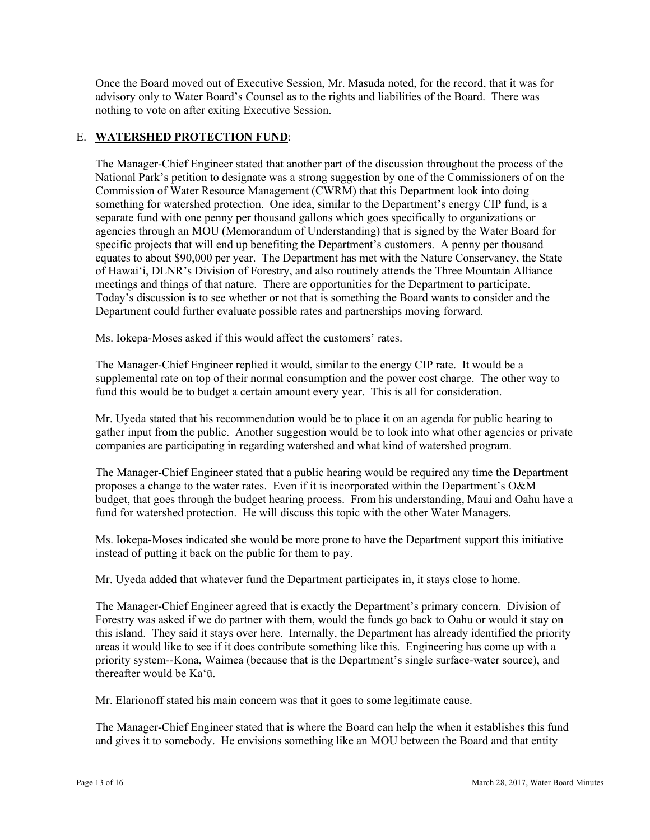Once the Board moved out of Executive Session, Mr. Masuda noted, for the record, that it was for advisory only to Water Board's Counsel as to the rights and liabilities of the Board. There was nothing to vote on after exiting Executive Session.

# E. **WATERSHED PROTECTION FUND**:

The Manager-Chief Engineer stated that another part of the discussion throughout the process of the National Park's petition to designate was a strong suggestion by one of the Commissioners of on the Commission of Water Resource Management (CWRM) that this Department look into doing something for watershed protection. One idea, similar to the Department's energy CIP fund, is a separate fund with one penny per thousand gallons which goes specifically to organizations or agencies through an MOU (Memorandum of Understanding) that is signed by the Water Board for specific projects that will end up benefiting the Department's customers. A penny per thousand equates to about \$90,000 per year. The Department has met with the Nature Conservancy, the State of Hawai'i, DLNR's Division of Forestry, and also routinely attends the Three Mountain Alliance meetings and things of that nature. There are opportunities for the Department to participate. Today's discussion is to see whether or not that is something the Board wants to consider and the Department could further evaluate possible rates and partnerships moving forward.

Ms. Iokepa-Moses asked if this would affect the customers' rates.

The Manager-Chief Engineer replied it would, similar to the energy CIP rate. It would be a supplemental rate on top of their normal consumption and the power cost charge. The other way to fund this would be to budget a certain amount every year. This is all for consideration.

Mr. Uyeda stated that his recommendation would be to place it on an agenda for public hearing to gather input from the public. Another suggestion would be to look into what other agencies or private companies are participating in regarding watershed and what kind of watershed program.

The Manager-Chief Engineer stated that a public hearing would be required any time the Department proposes a change to the water rates. Even if it is incorporated within the Department's O&M budget, that goes through the budget hearing process. From his understanding, Maui and Oahu have a fund for watershed protection. He will discuss this topic with the other Water Managers.

Ms. Iokepa-Moses indicated she would be more prone to have the Department support this initiative instead of putting it back on the public for them to pay.

Mr. Uyeda added that whatever fund the Department participates in, it stays close to home.

The Manager-Chief Engineer agreed that is exactly the Department's primary concern. Division of Forestry was asked if we do partner with them, would the funds go back to Oahu or would it stay on this island. They said it stays over here. Internally, the Department has already identified the priority areas it would like to see if it does contribute something like this. Engineering has come up with a priority system--Kona, Waimea (because that is the Department's single surface-water source), and thereafter would be Ka'ū.

Mr. Elarionoff stated his main concern was that it goes to some legitimate cause.

The Manager-Chief Engineer stated that is where the Board can help the when it establishes this fund and gives it to somebody. He envisions something like an MOU between the Board and that entity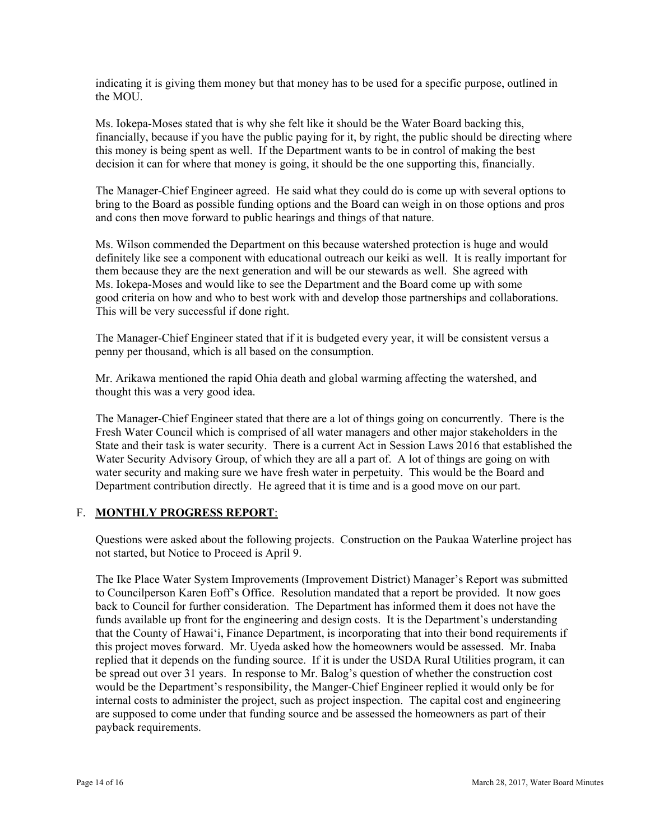indicating it is giving them money but that money has to be used for a specific purpose, outlined in the MOU.

Ms. Iokepa-Moses stated that is why she felt like it should be the Water Board backing this, financially, because if you have the public paying for it, by right, the public should be directing where this money is being spent as well. If the Department wants to be in control of making the best decision it can for where that money is going, it should be the one supporting this, financially.

The Manager-Chief Engineer agreed. He said what they could do is come up with several options to bring to the Board as possible funding options and the Board can weigh in on those options and pros and cons then move forward to public hearings and things of that nature.

Ms. Iokepa-Moses and would like to see the Department and the Board come up with some Ms. Wilson commended the Department on this because watershed protection is huge and would definitely like see a component with educational outreach our keiki as well. It is really important for them because they are the next generation and will be our stewards as well. She agreed with good criteria on how and who to best work with and develop those partnerships and collaborations. This will be very successful if done right.

The Manager-Chief Engineer stated that if it is budgeted every year, it will be consistent versus a penny per thousand, which is all based on the consumption.

Mr. Arikawa mentioned the rapid Ohia death and global warming affecting the watershed, and thought this was a very good idea.

 water security and making sure we have fresh water in perpetuity. This would be the Board and The Manager-Chief Engineer stated that there are a lot of things going on concurrently. There is the Fresh Water Council which is comprised of all water managers and other major stakeholders in the State and their task is water security. There is a current Act in Session Laws 2016 that established the Water Security Advisory Group, of which they are all a part of. A lot of things are going on with Department contribution directly. He agreed that it is time and is a good move on our part.

## F. **MONTHLY PROGRESS REPORT**:

Questions were asked about the following projects. Construction on the Paukaa Waterline project has not started, but Notice to Proceed is April 9.

The Ike Place Water System Improvements (Improvement District) Manager's Report was submitted to Councilperson Karen Eoff's Office. Resolution mandated that a report be provided. It now goes back to Council for further consideration. The Department has informed them it does not have the funds available up front for the engineering and design costs. It is the Department's understanding that the County of Hawaiʻi, Finance Department, is incorporating that into their bond requirements if this project moves forward. Mr. Uyeda asked how the homeowners would be assessed. Mr. Inaba replied that it depends on the funding source. If it is under the USDA Rural Utilities program, it can be spread out over 31 years. In response to Mr. Balog's question of whether the construction cost would be the Department's responsibility, the Manger-Chief Engineer replied it would only be for internal costs to administer the project, such as project inspection. The capital cost and engineering are supposed to come under that funding source and be assessed the homeowners as part of their payback requirements.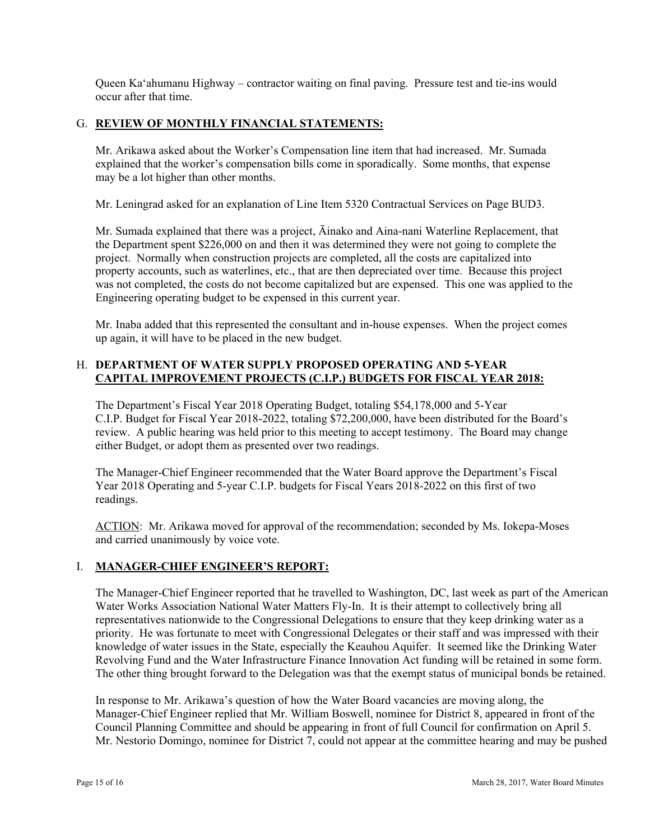Queen Ka'ahumanu Highway – contractor waiting on final paving. Pressure test and tie-ins would occur after that time.

## G. **REVIEW OF MONTHLY FINANCIAL STATEMENTS:**

Mr. Arikawa asked about the Worker's Compensation line item that had increased. Mr. Sumada explained that the worker's compensation bills come in sporadically. Some months, that expense may be a lot higher than other months.

Mr. Leningrad asked for an explanation of Line Item 5320 Contractual Services on Page BUD3.

Mr. Sumada explained that there was a project, Āinako and Aina-nani Waterline Replacement, that the Department spent \$226,000 on and then it was determined they were not going to complete the project. Normally when construction projects are completed, all the costs are capitalized into property accounts, such as waterlines, etc., that are then depreciated over time. Because this project was not completed, the costs do not become capitalized but are expensed. This one was applied to the Engineering operating budget to be expensed in this current year.

Mr. Inaba added that this represented the consultant and in-house expenses. When the project comes up again, it will have to be placed in the new budget.

## H. **DEPARTMENT OF WATER SUPPLY PROPOSED OPERATING AND 5-YEAR CAPITAL IMPROVEMENT PROJECTS (C.I.P.) BUDGETS FOR FISCAL YEAR 2018:**

The Department's Fiscal Year 2018 Operating Budget, totaling \$54,178,000 and 5-Year C.I.P. Budget for Fiscal Year 2018-2022, totaling \$72,200,000, have been distributed for the Board's review. A public hearing was held prior to this meeting to accept testimony. The Board may change either Budget, or adopt them as presented over two readings.

The Manager-Chief Engineer recommended that the Water Board approve the Department's Fiscal Year 2018 Operating and 5-year C.I.P. budgets for Fiscal Years 2018-2022 on this first of two readings.

ACTION: Mr. Arikawa moved for approval of the recommendation; seconded by Ms. Iokepa-Moses and carried unanimously by voice vote.

## I. **MANAGER-CHIEF ENGINEER'S REPORT:**

The Manager-Chief Engineer reported that he travelled to Washington, DC, last week as part of the American Water Works Association National Water Matters Fly-In. It is their attempt to collectively bring all representatives nationwide to the Congressional Delegations to ensure that they keep drinking water as a priority. He was fortunate to meet with Congressional Delegates or their staff and was impressed with their knowledge of water issues in the State, especially the Keauhou Aquifer. It seemed like the Drinking Water Revolving Fund and the Water Infrastructure Finance Innovation Act funding will be retained in some form. The other thing brought forward to the Delegation was that the exempt status of municipal bonds be retained.

In response to Mr. Arikawa's question of how the Water Board vacancies are moving along, the Manager-Chief Engineer replied that Mr. William Boswell, nominee for District 8, appeared in front of the Council Planning Committee and should be appearing in front of full Council for confirmation on April 5. Mr. Nestorio Domingo, nominee for District 7, could not appear at the committee hearing and may be pushed